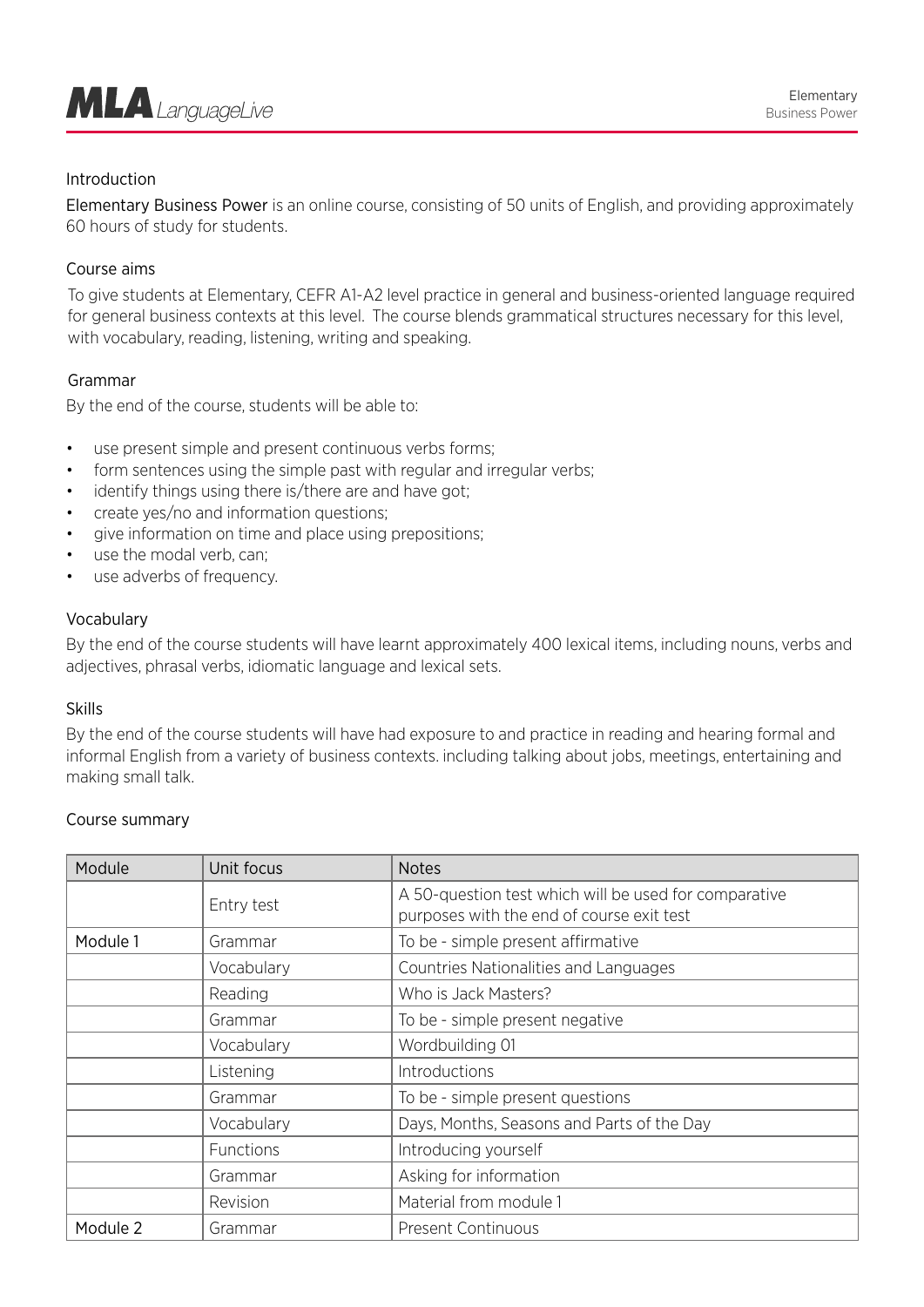

## Introduction

Elementary Business Power is an online course, consisting of 50 units of English, and providing approximately 60 hours of study for students.

### Course aims

To give students at Elementary, CEFR A1-A2 level practice in general and business-oriented language required for general business contexts at this level. The course blends grammatical structures necessary for this level, with vocabulary, reading, listening, writing and speaking.

#### Grammar

By the end of the course, students will be able to:

- use present simple and present continuous verbs forms;
- form sentences using the simple past with regular and irregular verbs;
- identify things using there is/there are and have got;
- create yes/no and information questions;
- give information on time and place using prepositions;
- use the modal verb, can:
- use adverbs of frequency.

#### Vocabulary

By the end of the course students will have learnt approximately 400 lexical items, including nouns, verbs and adjectives, phrasal verbs, idiomatic language and lexical sets.

#### Skills

By the end of the course students will have had exposure to and practice in reading and hearing formal and informal English from a variety of business contexts. including talking about jobs, meetings, entertaining and making small talk.

#### Course summary

| Module   | Unit focus | <b>Notes</b>                                                                                       |
|----------|------------|----------------------------------------------------------------------------------------------------|
|          | Entry test | A 50-question test which will be used for comparative<br>purposes with the end of course exit test |
| Module 1 | Grammar    | To be - simple present affirmative                                                                 |
|          | Vocabulary | <b>Countries Nationalities and Languages</b>                                                       |
|          | Reading    | Who is Jack Masters?                                                                               |
|          | Grammar    | To be - simple present negative                                                                    |
|          | Vocabulary | Wordbuilding 01                                                                                    |
|          | Listening  | Introductions                                                                                      |
|          | Grammar    | To be - simple present questions                                                                   |
|          | Vocabulary | Days, Months, Seasons and Parts of the Day                                                         |
|          | Functions  | Introducing yourself                                                                               |
|          | Grammar    | Asking for information                                                                             |
|          | Revision   | Material from module 1                                                                             |
| Module 2 | Grammar    | <b>Present Continuous</b>                                                                          |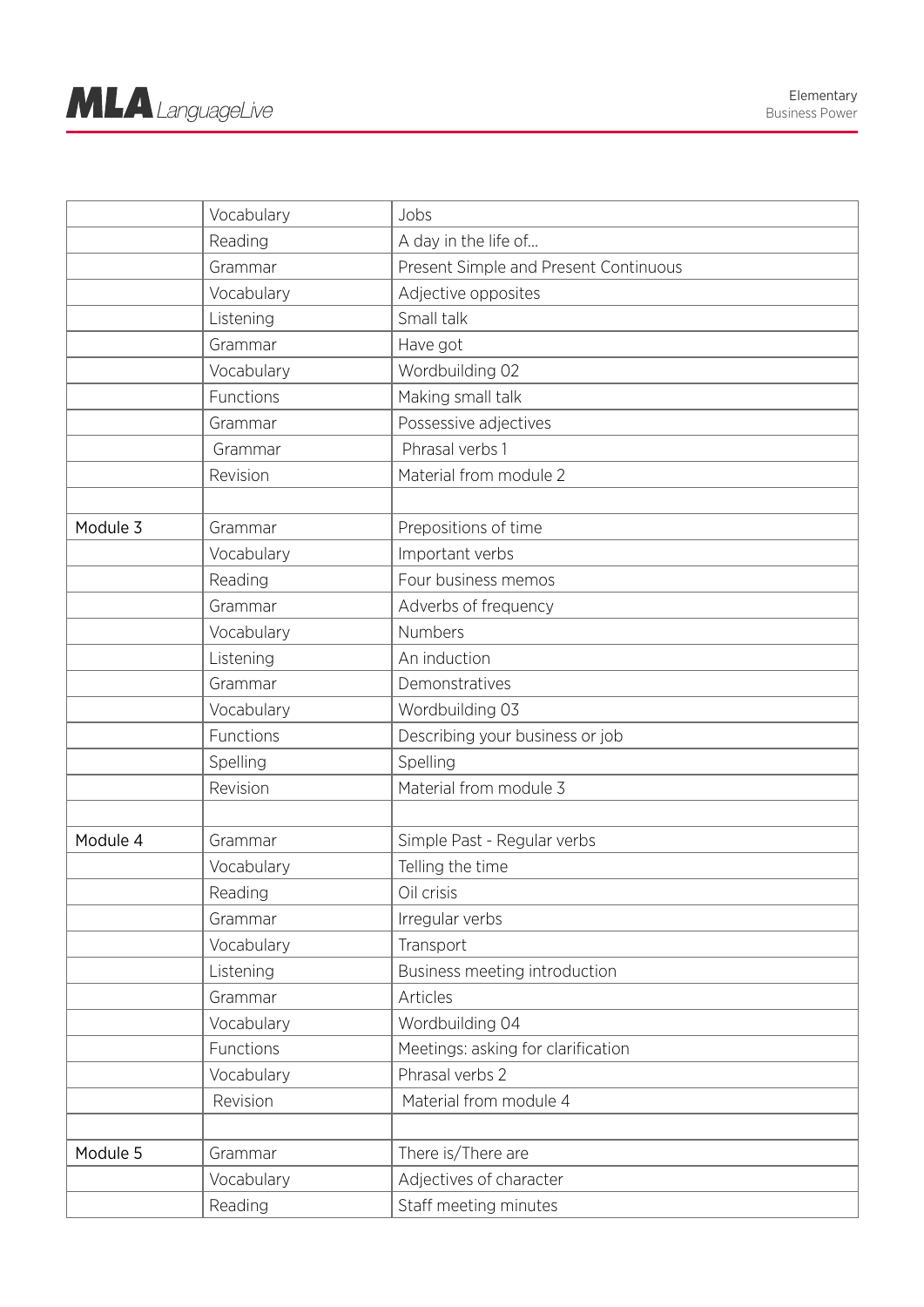|          | Vocabulary | Jobs                                  |
|----------|------------|---------------------------------------|
|          | Reading    | A day in the life of                  |
|          | Grammar    | Present Simple and Present Continuous |
|          | Vocabulary | Adjective opposites                   |
|          | Listening  | Small talk                            |
|          | Grammar    | Have got                              |
|          | Vocabulary | Wordbuilding 02                       |
|          | Functions  | Making small talk                     |
|          | Grammar    | Possessive adjectives                 |
|          | Grammar    | Phrasal verbs 1                       |
|          | Revision   | Material from module 2                |
|          |            |                                       |
| Module 3 | Grammar    | Prepositions of time                  |
|          | Vocabulary | Important verbs                       |
|          | Reading    | Four business memos                   |
|          | Grammar    | Adverbs of frequency                  |
|          | Vocabulary | Numbers                               |
|          | Listening  | An induction                          |
|          | Grammar    | Demonstratives                        |
|          | Vocabulary | Wordbuilding 03                       |
|          | Functions  | Describing your business or job       |
|          | Spelling   | Spelling                              |
|          | Revision   | Material from module 3                |
|          |            |                                       |
| Module 4 | Grammar    | Simple Past - Regular verbs           |
|          | Vocabulary | Telling the time                      |
|          | Reading    | Oil crisis                            |
|          | Grammar    | Irregular verbs                       |
|          | Vocabulary | Transport                             |
|          | Listening  | Business meeting introduction         |
|          | Grammar    | Articles                              |
|          | Vocabulary | Wordbuilding 04                       |
|          | Functions  | Meetings: asking for clarification    |
|          | Vocabulary | Phrasal verbs 2                       |
|          | Revision   | Material from module 4                |
|          |            |                                       |
| Module 5 | Grammar    | There is/There are                    |
|          | Vocabulary | Adjectives of character               |
|          | Reading    | Staff meeting minutes                 |